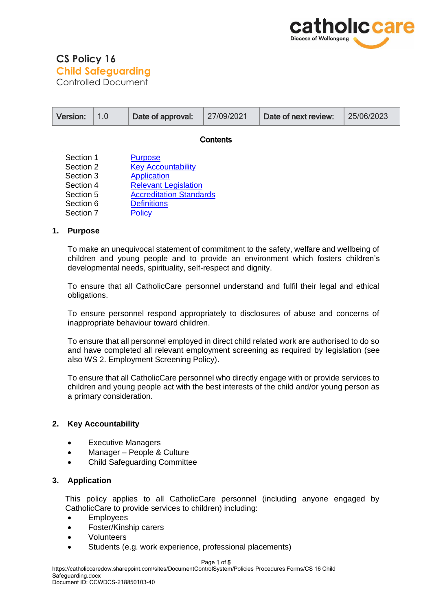

# **CS Policy 16 Child Safeguarding** Controlled Document

|                                                                                         | Version:       | 1.0 | Date of approval:                                                                                                                                                  | 27/09/2021 | Date of next review: | 25/06/2023 |
|-----------------------------------------------------------------------------------------|----------------|-----|--------------------------------------------------------------------------------------------------------------------------------------------------------------------|------------|----------------------|------------|
| Contents                                                                                |                |     |                                                                                                                                                                    |            |                      |            |
| Section 1<br>Section 2<br>Section 3<br>Section 4<br>Section 5<br>Section 6<br>Section 7 |                |     | <b>Purpose</b><br><b>Key Accountability</b><br>Application<br><b>Relevant Legislation</b><br><b>Accreditation Standards</b><br><b>Definitions</b><br><b>Policy</b> |            |                      |            |
| 1.                                                                                      | <b>Purpose</b> |     |                                                                                                                                                                    |            |                      |            |

<span id="page-0-0"></span>To make an unequivocal statement of commitment to the safety, welfare and wellbeing of children and young people and to provide an environment which fosters children's developmental needs, spirituality, self-respect and dignity.

To ensure that all CatholicCare personnel understand and fulfil their legal and ethical obligations.

To ensure personnel respond appropriately to disclosures of abuse and concerns of inappropriate behaviour toward children.

To ensure that all personnel employed in direct child related work are authorised to do so and have completed all relevant employment screening as required by legislation (see also WS 2. Employment Screening Policy).

To ensure that all CatholicCare personnel who directly engage with or provide services to children and young people act with the best interests of the child and/or young person as a primary consideration.

### <span id="page-0-1"></span>**2. Key Accountability**

- Executive Managers
- Manager People & Culture
- Child Safeguarding Committee

### <span id="page-0-2"></span>**3. Application**

This policy applies to all CatholicCare personnel (including anyone engaged by CatholicCare to provide services to children) including:

- Employees
- Foster/Kinship carers
- Volunteers
- Students (e.g. work experience, professional placements)

#### Page 1 of 5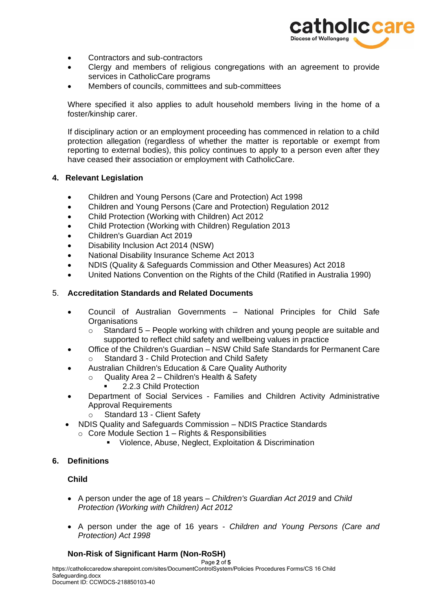

- Contractors and sub-contractors
- Clergy and members of religious congregations with an agreement to provide services in CatholicCare programs
- Members of councils, committees and sub-committees

Where specified it also applies to adult household members living in the home of a foster/kinship carer.

If disciplinary action or an employment proceeding has commenced in relation to a child protection allegation (regardless of whether the matter is reportable or exempt from reporting to external bodies), this policy continues to apply to a person even after they have ceased their association or employment with CatholicCare.

# <span id="page-1-0"></span>**4. Relevant Legislation**

- [Children and Young Persons \(Care and Protection\) Act 1998](http://www.austlii.edu.au/au/legis/nsw/consol_act/caypapa1998442/)
- Children and Young Persons (Care and Protection) Regulation 2012
- Child Protection (Working with Children) Act 2012
- Child Protection (Working with Children) Regulation 2013
- Children's Guardian Act 2019
- Disability Inclusion Act 2014 (NSW)
- National Disability Insurance Scheme Act 2013
- NDIS (Quality & Safeguards Commission and Other Measures) Act 2018
- United Nations Convention on the Rights of the Child (Ratified in Australia 1990)

### <span id="page-1-1"></span>5. **Accreditation Standards and Related Documents**

- Council of Australian Governments National Principles for Child Safe **Organisations** 
	- $\circ$  Standard 5 People working with children and young people are suitable and supported to reflect child safety and wellbeing values in practice
- Office of the Children's Guardian NSW Child Safe Standards for Permanent Care o Standard 3 - Child Protection and Child Safety
- Australian Children's Education & Care Quality Authority
	- o Quality Area 2 Children's Health & Safety
		- 2.2.3 Child Protection
- Department of Social Services Families and Children Activity Administrative Approval Requirements
	- Standard 13 Client Safety
- NDIS Quality and Safeguards Commission NDIS Practice Standards
	- $\circ$  Core Module Section 1 Rights & Responsibilities
		- Violence, Abuse, Neglect, Exploitation & Discrimination

### <span id="page-1-2"></span>**6. Definitions**

# **Child**

- A person under the age of 18 years *Children's Guardian Act 2019* and *Child Protection (Working with Children) Act 2012*
- A person under the age of 16 years *Children and Young Persons (Care and Protection) Act 1998*

### **Non-Risk of Significant Harm (Non-RoSH)**

Page 2 of 5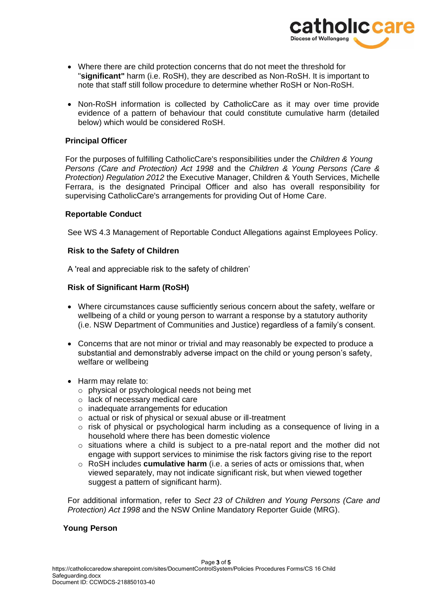

- Where there are child protection concerns that do not meet the threshold for "**significant"** harm (i.e. RoSH), they are described as Non-RoSH. It is important to note that staff still follow procedure to determine whether RoSH or Non-RoSH.
- Non-RoSH information is collected by CatholicCare as it may over time provide evidence of a pattern of behaviour that could constitute cumulative harm (detailed below) which would be considered RoSH.

# **Principal Officer**

For the purposes of fulfilling CatholicCare's responsibilities under the *Children & Young Persons (Care and Protection) Act 1998* and the *Children & Young Persons (Care & Protection) Regulation 2012* the Executive Manager, Children & Youth Services, Michelle Ferrara, is the designated Principal Officer and also has overall responsibility for supervising CatholicCare's arrangements for providing Out of Home Care.

# **Reportable Conduct**

See WS 4.3 Management of Reportable Conduct Allegations against Employees Policy.

# **Risk to the Safety of Children**

A 'real and appreciable risk to the safety of children'

# **Risk of Significant Harm (RoSH)**

- Where circumstances cause sufficiently serious concern about the safety, welfare or wellbeing of a child or young person to warrant a response by a statutory authority (i.e. NSW Department of Communities and Justice) regardless of a family's consent.
- Concerns that are not minor or trivial and may reasonably be expected to produce a substantial and demonstrably adverse impact on the child or young person's safety, welfare or wellbeing
- Harm may relate to:
	- o physical or psychological needs not being met
	- o lack of necessary medical care
	- o inadequate arrangements for education
	- o actual or risk of physical or sexual abuse or ill-treatment
	- $\circ$  risk of physical or psychological harm including as a consequence of living in a household where there has been domestic violence
	- o situations where a child is subject to a pre-natal report and the mother did not engage with support services to minimise the risk factors giving rise to the report
	- o RoSH includes **cumulative harm** (i.e. a series of acts or omissions that, when viewed separately, may not indicate significant risk, but when viewed together suggest a pattern of significant harm).

 For additional information, refer to *Sect 23 of Children and Young Persons (Care and Protection) Act 1998* and the NSW Online Mandatory Reporter Guide (MRG).

# **Young Person**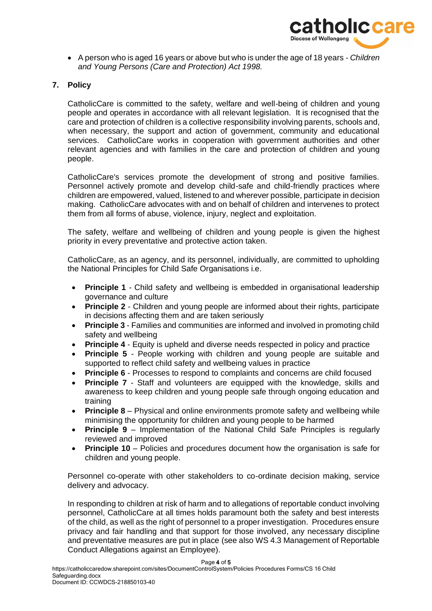

• A person who is aged 16 years or above but who is under the age of 18 years - *Children and Young Persons (Care and Protection) Act 1998.*

# <span id="page-3-0"></span>**7. Policy**

CatholicCare is committed to the safety, welfare and well-being of children and young people and operates in accordance with all relevant legislation. It is recognised that the care and protection of children is a collective responsibility involving parents, schools and, when necessary, the support and action of government, community and educational services. CatholicCare works in cooperation with government authorities and other relevant agencies and with families in the care and protection of children and young people.

CatholicCare's services promote the development of strong and positive families. Personnel actively promote and develop child-safe and child-friendly practices where children are empowered, valued, listened to and wherever possible, participate in decision making. CatholicCare advocates with and on behalf of children and intervenes to protect them from all forms of abuse, violence, injury, neglect and exploitation.

The safety, welfare and wellbeing of children and young people is given the highest priority in every preventative and protective action taken.

CatholicCare, as an agency, and its personnel, individually, are committed to upholding the National Principles for Child Safe Organisations i.e.

- **Principle 1** Child safety and wellbeing is embedded in organisational leadership governance and culture
- **Principle 2** Children and young people are informed about their rights, participate in decisions affecting them and are taken seriously
- **Principle 3**  Families and communities are informed and involved in promoting child safety and wellbeing
- **Principle 4** Equity is upheld and diverse needs respected in policy and practice
- **Principle 5** People working with children and young people are suitable and supported to reflect child safety and wellbeing values in practice
- **Principle 6** Processes to respond to complaints and concerns are child focused
- **Principle 7** Staff and volunteers are equipped with the knowledge, skills and awareness to keep children and young people safe through ongoing education and training
- **Principle 8** Physical and online environments promote safety and wellbeing while minimising the opportunity for children and young people to be harmed
- **Principle 9** Implementation of the National Child Safe Principles is regularly reviewed and improved
- **Principle 10** Policies and procedures document how the organisation is safe for children and young people.

Personnel co-operate with other stakeholders to co-ordinate decision making, service delivery and advocacy.

In responding to children at risk of harm and to allegations of reportable conduct involving personnel, CatholicCare at all times holds paramount both the safety and best interests of the child, as well as the right of personnel to a proper investigation. Procedures ensure privacy and fair handling and that support for those involved, any necessary discipline and preventative measures are put in place (see also WS 4.3 Management of Reportable Conduct Allegations against an Employee).

Page 4 of 5